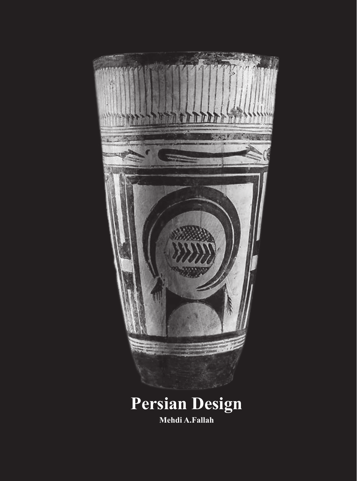

**Mehdi A.Fallah**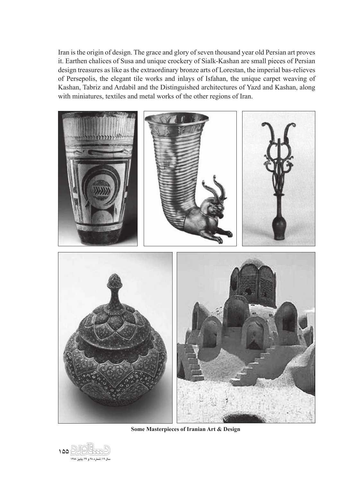Iran is the origin of design. The grace and glory of seven thousand year old Persian art proves it. Earthen chalices of Susa and unique crockery of Sialk-Kashan are small pieces of Persian design treasures as like as the extraordinary bronze arts of Lorestan, the imperial bas-relieves of Persepolis, the elegant tile works and inlays of Isfahan, the unique carpet weaving of Kashan, Tabriz and Ardabil and the Distinguished architectures of Yazd and Kashan, along with miniatures, textiles and metal works of the other regions of Iran.



**Some Masterpieces of Iranian Art & Design** 

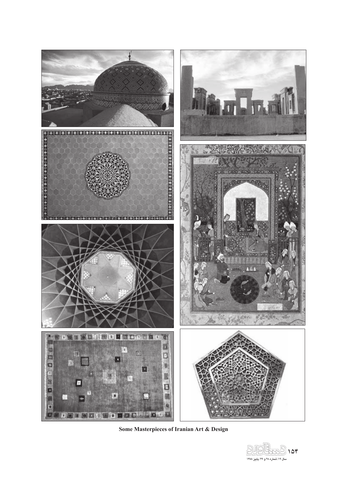

**Some Masterpieces of Iranian Art & Design** 

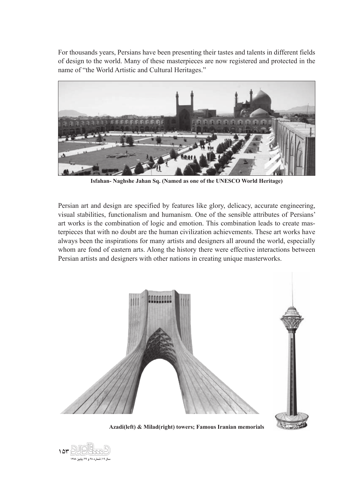For thousands years, Persians have been presenting their tastes and talents in different fields of design to the world. Many of these masterpieces are now registered and protected in the name of "the World Artistic and Cultural Heritages."



**Isfahan- Naghshe Jahan Sq. (Named as one of the UNESCO World Heritage)**

Persian art and design are specified by features like glory, delicacy, accurate engineering, visual stabilities, functionalism and humanism. One of the sensible attributes of Persians' art works is the combination of logic and emotion. This combination leads to create masterpieces that with no doubt are the human civilization achievements. These art works have always been the inspirations for many artists and designers all around the world, especially whom are fond of eastern arts. Along the history there were effective interactions between Persian artists and designers with other nations in creating unique masterworks.



**Azadi(left) & Milad(right) towers; Famous Iranian memorials**